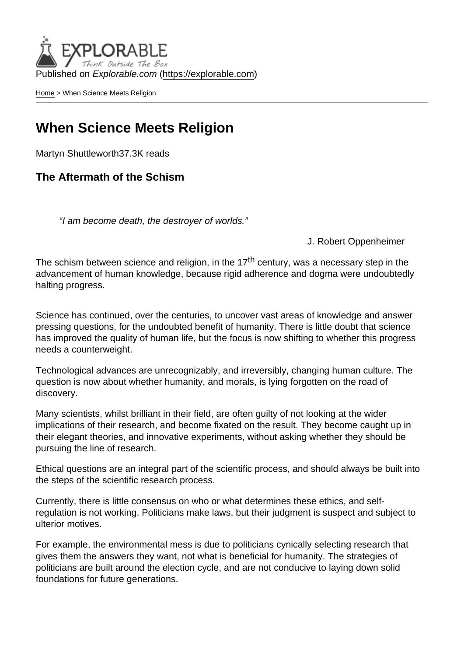Published on Explorable.com (<https://explorable.com>)

[Home](https://explorable.com/) > When Science Meets Religion

#### When Science Meets Religion

Martyn Shuttleworth37.3K reads

The Aftermath of the Schism

"I am become death, the destroyer of worlds."

#### J. Robert Oppenheimer

The schism between science and religion, in the 17<sup>th</sup> century, was a necessary step in the advancement of human knowledge, because rigid adherence and dogma were undoubtedly halting progress.

Science has continued, over the centuries, to uncover vast areas of knowledge and answer pressing questions, for the undoubted benefit of humanity. There is little doubt that science has improved the quality of human life, but the focus is now shifting to whether this progress needs a counterweight.

Technological advances are unrecognizably, and irreversibly, changing human culture. The question is now about whether humanity, and morals, is lying forgotten on the road of discovery.

Many scientists, whilst brilliant in their field, are often guilty of not looking at the wider implications of their research, and become fixated on the result. They become caught up in their elegant theories, and innovative experiments, without asking whether they should be pursuing the line of research.

Ethical questions are an integral part of the scientific process, and should always be built into the steps of the scientific research process.

Currently, there is little consensus on who or what determines these ethics, and selfregulation is not working. Politicians make laws, but their judgment is suspect and subject to ulterior motives.

For example, the environmental mess is due to politicians cynically selecting research that gives them the answers they want, not what is beneficial for humanity. The strategies of politicians are built around the election cycle, and are not conducive to laying down solid foundations for future generations.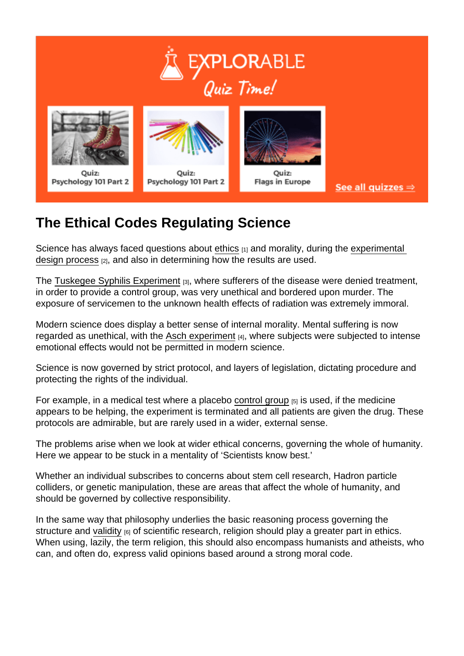# The Ethical Codes Regulating Science

Science has always faced questions about [ethics](https://explorable.com/ethics-in-research) [1] and morality, during the experimental [design process](https://explorable.com/design-of-experiment) [2], and also in determining how the results are used.

The [Tuskegee Syphilis Experiment](https://explorable.com/tuskegee-syphilis-study) [3], where sufferers of the disease were denied treatment, in order to provide a control group, was very unethical and bordered upon murder. The exposure of servicemen to the unknown health effects of radiation was extremely immoral.

Modern science does display a better sense of internal morality. Mental suffering is now regarded as unethical, with the [Asch experiment](https://explorable.com/asch-experiment) [4], where subjects were subjected to intense emotional effects would not be permitted in modern science.

Science is now governed by strict protocol, and layers of legislation, dictating procedure and protecting the rights of the individual.

For example, in a medical test where a placebo [control group](https://explorable.com/scientific-control-group)  $[5]$  is used, if the medicine appears to be helping, the experiment is terminated and all patients are given the drug. These protocols are admirable, but are rarely used in a wider, external sense.

The problems arise when we look at wider ethical concerns, governing the whole of humanity. Here we appear to be stuck in a mentality of 'Scientists know best.'

Whether an individual subscribes to concerns about stem cell research, Hadron particle colliders, or genetic manipulation, these are areas that affect the whole of humanity, and should be governed by collective responsibility.

In the same way that philosophy underlies the basic reasoning process governing the structure and [validity](https://explorable.com/validity-and-reliability)  $[6]$  of scientific research, religion should play a greater part in ethics. When using, lazily, the term religion, this should also encompass humanists and atheists, who can, and often do, express valid opinions based around a strong moral code.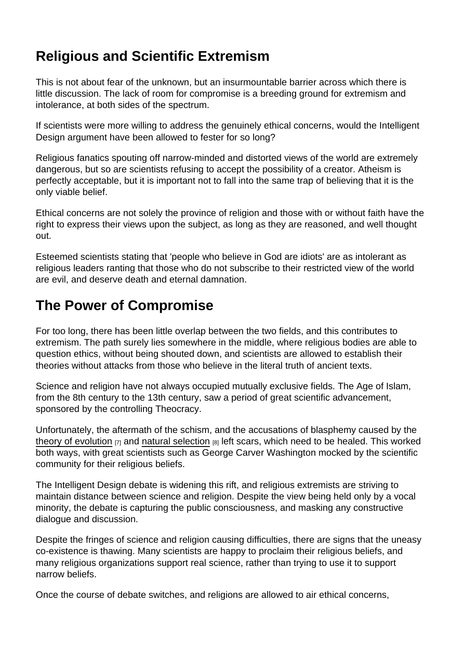# Religious and Scientific Extremism

This is not about fear of the unknown, but an insurmountable barrier across which there is little discussion. The lack of room for compromise is a breeding ground for extremism and intolerance, at both sides of the spectrum.

If scientists were more willing to address the genuinely ethical concerns, would the Intelligent Design argument have been allowed to fester for so long?

Religious fanatics spouting off narrow-minded and distorted views of the world are extremely dangerous, but so are scientists refusing to accept the possibility of a creator. Atheism is perfectly acceptable, but it is important not to fall into the same trap of believing that it is the only viable belief.

Ethical concerns are not solely the province of religion and those with or without faith have the right to express their views upon the subject, as long as they are reasoned, and well thought out.

Esteemed scientists stating that 'people who believe in God are idiots' are as intolerant as religious leaders ranting that those who do not subscribe to their restricted view of the world are evil, and deserve death and eternal damnation.

### The Power of Compromise

For too long, there has been little overlap between the two fields, and this contributes to extremism. The path surely lies somewhere in the middle, where religious bodies are able to question ethics, without being shouted down, and scientists are allowed to establish their theories without attacks from those who believe in the literal truth of ancient texts.

Science and religion have not always occupied mutually exclusive fields. The Age of Islam, from the 8th century to the 13th century, saw a period of great scientific advancement, sponsored by the controlling Theocracy.

Unfortunately, the aftermath of the schism, and the accusations of blasphemy caused by the [theory of evolution](https://explorable.com/biology-experiments)  $\overline{17}$  and [natural selection](https://explorable.com/darwins-finches)  $\overline{18}$  left scars, which need to be healed. This worked both ways, with great scientists such as George Carver Washington mocked by the scientific community for their religious beliefs.

The Intelligent Design debate is widening this rift, and religious extremists are striving to maintain distance between science and religion. Despite the view being held only by a vocal minority, the debate is capturing the public consciousness, and masking any constructive dialogue and discussion.

Despite the fringes of science and religion causing difficulties, there are signs that the uneasy co-existence is thawing. Many scientists are happy to proclaim their religious beliefs, and many religious organizations support real science, rather than trying to use it to support narrow beliefs.

Once the course of debate switches, and religions are allowed to air ethical concerns,